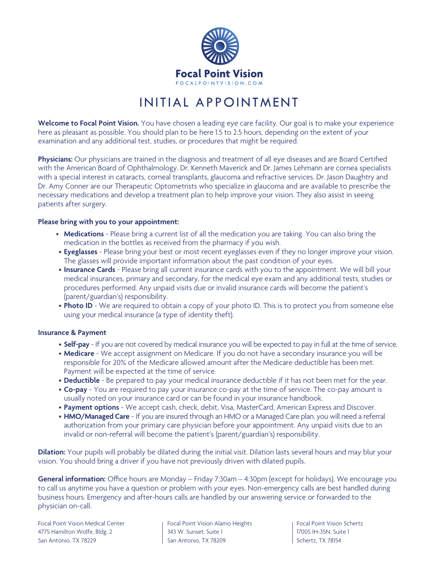

## INITIAL APPOINTMENT

**Welcome to Focal Point Vision.** You have chosen a leading eye care facility. Our goal is to make your experience here as pleasant as possible. You should plan to be here 1.5 to 2.5 hours, depending on the extent of your examination and any additional test, studies, or procedures that might be required.

**Physicians:** Our physicians are trained in the diagnosis and treatment of all eye diseases and are Board Certified with the American Board of Ophthalmology. Dr. Kenneth Maverick and Dr. James Lehmann are cornea specialists with a special interest in cataracts, corneal transplants, glaucoma and refractive services. Dr. Jason Daughtry and Dr. Amy Conner are our Therapeutic Optometrists who specialize in glaucoma and are available to prescribe the necessary medications and develop a treatment plan to help improve your vision. They also assist in seeing patients after surgery.

#### **Please bring with you to your appointment:**

- **Medications** Please bring a current list of all the medication you are taking. You can also bring the medication in the bottles as received from the pharmacy if you wish.
- **Eyeglasses**  Please bring your best or most recent eyeglasses even if they no longer improve your vision. The glasses will provide important information about the past condition of your eyes.
- **Insurance Cards** Please bring all current insurance cards with you to the appointment. We will bill your medical insurances, primary and secondary, for the medical eye exam and any additional tests, studies or procedures performed. Any unpaid visits due or invalid insurance cards will become the patient's (parent/guardian's) responsibility.
- **Photo ID** We are required to obtain a copy of your photo ID. This is to protect you from someone else using your medical insurance (a type of identity theft).

#### **Insurance & Payment**

- **Self-pay** If you are not covered by medical insurance you will be expected to pay in full at the time of service.
- **Medicare**  We accept assignment on Medicare. If you do not have a secondary insurance you will be responsible for 20% of the Medicare allowed amount after the Medicare deductible has been met. Payment will be expected at the time of service.
- **Deductible**  Be prepared to pay your medical insurance deductible if it has not been met for the year.
- **Co-pay** You are required to pay your insurance co-pay at the time of service. The co-pay amount is usually noted on your insurance card or can be found in your insurance handbook.
- **Payment options**  We accept cash, check, debit, Visa, MasterCard, American Express and Discover.
- **HMO/Managed Care** If you are insured through an HMO or a Managed Care plan, you will need a referral authorization from your primary care physician before your appointment. Any unpaid visits due to an invalid or non-referral will become the patient's (parent/guardian's) responsibility.

**Dilation:** Your pupils will probably be dilated during the initial visit. Dilation lasts several hours and may blur your vision. You should bring a driver if you have not previously driven with dilated pupils.

**General information:** Office hours are Monday – Friday 7:30am – 4:30pm (except for holidays). We encourage you to call us anytime you have a question or problem with your eyes. Non-emergency calls are best handled during business hours. Emergency and after-hours calls are handled by our answering service or forwarded to the physician on-call.

Focal Point Vision Medical Center Focal Point Vision Alamo Heights Focal Point Vision Schertz 4775 Hamilton Wolfe, Bldg. 2 343 W. Sunset, Suite 1 17005 IH-35N, Suite 1 San Antonio, TX 78229 San Antonio, TX 78209 Schertz, TX 78154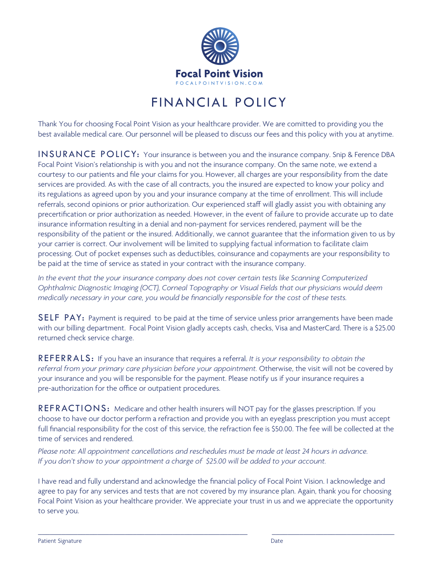

## FINANCIAL POLICY

Thank You for choosing Focal Point Vision as your healthcare provider. We are comitted to providing you the best available medical care. Our personnel will be pleased to discuss our fees and this policy with you at anytime.

INSURANCE POLICY: Your insurance is between you and the insurance company. Snip & Ference DBA Focal Point Vision's relationship is with you and not the insurance company. On the same note, we extend a courtesy to our patients and file your claims for you. However, all charges are your responsibility from the date services are provided. As with the case of all contracts, you the insured are expected to know your policy and its regulations as agreed upon by you and your insurance company at the time of enrollment. This will include referrals, second opinions or prior authorization. Our experienced staff will gladly assist you with obtaining any precertification or prior authorization as needed. However, in the event of failure to provide accurate up to date insurance information resulting in a denial and non-payment for services rendered, payment will be the responsibility of the patient or the insured. Additionally, we cannot guarantee that the information given to us by your carrier is correct. Our involvement will be limited to supplying factual information to facilitate claim processing. Out of pocket expenses such as deductibles, coinsurance and copayments are your responsibility to be paid at the time of service as stated in your contract with the insurance company.

*In the event that the your insurance company does not cover certain tests like Scanning Computerized Ophthalmic Diagnostic Imaging (OCT), Corneal Topography or Visual Fields that our physicians would deem medically necessary in your care, you would be financially responsible for the cost of these tests.*

SELF PAY: Payment is required to be paid at the time of service unless prior arrangements have been made with our billing department. Focal Point Vision gladly accepts cash, checks, Visa and MasterCard. There is a \$25.00 returned check service charge.

REFERRALS: If you have an insurance that requires a referral. *It is your responsibility to obtain the referral from your primary care physician before your appointment.* Otherwise, the visit will not be covered by your insurance and you will be responsible for the payment. Please notify us if your insurance requires a pre-authorization for the office or outpatient procedures.

REFRACTIONS: Medicare and other health insurers will NOT pay for the glasses prescription. If you choose to have our doctor perform a refraction and provide you with an eyeglass prescription you must accept full financial responsibility for the cost of this service, the refraction fee is \$50.00. The fee will be collected at the time of services and rendered.

*Please note: All appointment cancellations and reschedules must be made at least 24 hours in advance. If you don't show to your appointment a charge of \$25.00 will be added to your account.*

I have read and fully understand and acknowledge the financial policy of Focal Point Vision. I acknowledge and agree to pay for any services and tests that are not covered by my insurance plan. Again, thank you for choosing Focal Point Vision as your healthcare provider. We appreciate your trust in us and we appreciate the opportunity to serve you.

\_\_\_\_\_\_\_\_\_\_\_\_\_\_\_\_\_\_\_\_\_\_\_\_\_\_\_\_\_\_\_\_\_\_\_\_\_\_\_\_\_\_\_\_\_\_\_\_\_\_\_\_\_ \_\_\_\_\_\_\_\_\_\_\_\_\_\_\_\_\_\_\_\_\_\_\_\_\_\_\_\_\_\_\_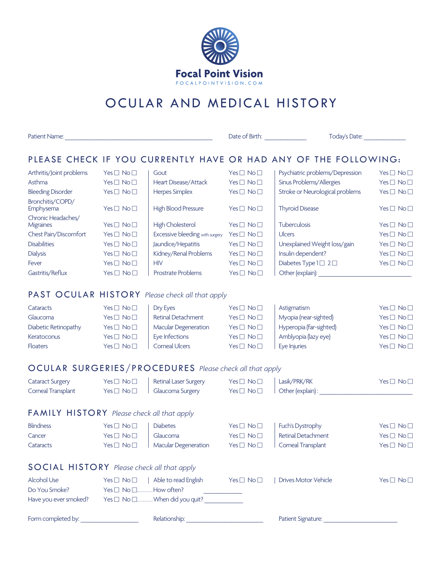

# OCULAR AND MEDICAL HISTORY

| Patient Name:                                     |                                          |                                                             |                                          | Date of Birth: North State of Birth:<br>Today's Date:                                                                                                                                                                          |                    |  |
|---------------------------------------------------|------------------------------------------|-------------------------------------------------------------|------------------------------------------|--------------------------------------------------------------------------------------------------------------------------------------------------------------------------------------------------------------------------------|--------------------|--|
|                                                   |                                          |                                                             |                                          | PLEASE CHECK IF YOU CURRENTLY HAVE OR HAD ANY OF THE FOLLOWING:                                                                                                                                                                |                    |  |
| Arthritis/Joint problems                          | $Yes \Box No \Box$                       | Gout                                                        | $Yes \Box No \Box$                       | Psychiatric problems/Depression                                                                                                                                                                                                | $Yes \Box No \Box$ |  |
| Asthma                                            | $Yes \Box No \Box$                       | Heart Disease/Attack                                        | $Yes \Box No \Box$                       | Sinus Problems/Allergies                                                                                                                                                                                                       | $Yes \Box No \Box$ |  |
| <b>Bleeding Disorder</b>                          | $Yes \Box No \Box$                       | <b>Herpes Simplex</b>                                       | $Yes \Box No \Box$                       | Stroke or Neurological problems                                                                                                                                                                                                | $Yes \Box No \Box$ |  |
| Bronchitis/COPD/<br>Emphysema                     | $Yes \Box No \Box$                       | <b>High Blood Pressure</b>                                  | $Yes \Box No \Box$                       | <b>Thyroid Disease</b>                                                                                                                                                                                                         | $Yes \Box No \Box$ |  |
| Chronic Headaches/                                |                                          |                                                             |                                          |                                                                                                                                                                                                                                |                    |  |
| Migraines                                         | $Yes \Box No \Box$                       | High Cholesterol                                            | $Yes \Box No \Box$                       | Tuberculosis                                                                                                                                                                                                                   | $Yes \Box No \Box$ |  |
| Chest Pain/Discomfort<br><b>Disabilities</b>      | $Yes \Box No \Box$                       | <b>Excessive bleeding</b> with surgery                      | $Yes \Box No \Box$                       | <b>Ulcers</b>                                                                                                                                                                                                                  | $Yes \Box No \Box$ |  |
|                                                   | $Yes \Box No \Box$                       | Jaundice/Hepatitis                                          | $Yes \Box No \Box$                       | Unexplained Weight loss/gain                                                                                                                                                                                                   | $Yes \Box No \Box$ |  |
| <b>Dialysis</b>                                   | $Yes \Box No \Box$<br>$Yes \Box No \Box$ | Kidney/Renal Problems<br><b>HIV</b>                         | $Yes \Box No \Box$                       | Insulin dependent?<br>Diabetes Type $1 \square 2 \square$                                                                                                                                                                      | $Yes \Box No \Box$ |  |
| Fever<br>Gastritis/Reflux                         | Yes $\square$ No $\square$               | Prostrate Problems                                          | $Yes \Box No \Box$<br>$Yes \Box No \Box$ | Other (explain):                                                                                                                                                                                                               | $Yes \Box No \Box$ |  |
|                                                   |                                          |                                                             |                                          |                                                                                                                                                                                                                                |                    |  |
|                                                   |                                          | PAST OCULAR HISTORY Please check all that apply             |                                          |                                                                                                                                                                                                                                |                    |  |
| Cataracts                                         | $Yes \Box No \Box$                       | Dry Eyes                                                    | $Yes \Box No \Box$                       | Astigmatism                                                                                                                                                                                                                    | $Yes \Box No \Box$ |  |
| Glaucoma                                          | $Yes \Box No \Box$                       | Retinal Detachment                                          | $Yes \Box No \Box$                       | Myopia (near-sighted)                                                                                                                                                                                                          | $Yes \Box No \Box$ |  |
| Diabetic Retinopathy                              | $Yes \Box No \Box$                       | Macular Degeneration                                        | $Yes \Box No \Box$                       | Hyperopia (far-sighted)                                                                                                                                                                                                        | $Yes \Box No \Box$ |  |
| Keratoconus                                       | $Yes \Box No \Box$                       | Eye Infections                                              | $Yes \Box No \Box$                       | Amblyopia (lazy eye)                                                                                                                                                                                                           | $Yes \Box No \Box$ |  |
| <b>Floaters</b>                                   | $Yes \Box No \Box$                       | <b>Corneal Ulcers</b>                                       | $Yes \Box No \Box$                       | Eye Injuries                                                                                                                                                                                                                   | $Yes \Box No \Box$ |  |
|                                                   |                                          | OCULAR SURGERIES/PROCEDURES Please check all that apply     |                                          |                                                                                                                                                                                                                                |                    |  |
| <b>Cataract Surgery</b>                           | $Yes \Box No \Box$                       | <b>Retinal Laser Surgery</b>                                | $Yes \Box No \Box$                       | Lasik/PRK/RK                                                                                                                                                                                                                   | $Yes \Box No \Box$ |  |
| Corneal Transplant                                | $Yes \Box No \Box$                       | Glaucoma Surgery                                            | $Yes \Box No \Box$                       | Other (explain) :                                                                                                                                                                                                              |                    |  |
| <b>FAMILY HISTORY</b> Please check all that apply |                                          |                                                             |                                          |                                                                                                                                                                                                                                |                    |  |
| <b>Blindness</b>                                  | $Yes \Box No \Box$                       | <b>Diabetes</b>                                             | $Yes \Box No \Box$                       | Fuch's Dystrophy                                                                                                                                                                                                               | $Yes \Box No \Box$ |  |
| Cancer                                            | $Yes \Box No \Box$                       | Glaucoma                                                    | $Yes \Box No \Box$                       | Retinal Detachment                                                                                                                                                                                                             | $Yes \Box No \Box$ |  |
| Cataracts                                         | $Yes \Box No \Box$                       | Macular Degeneration                                        | $Yes \Box No \Box$                       | Corneal Transplant                                                                                                                                                                                                             | $Yes \Box No \Box$ |  |
| <b>SOCIAL HISTORY</b> Please check all that apply |                                          |                                                             |                                          |                                                                                                                                                                                                                                |                    |  |
| <b>Alcohol Use</b>                                | $Yes \Box No \Box$                       | Able to read English                                        | Yes $\Box$ No $\Box$                     | <b>Drives Motor Vehicle</b>                                                                                                                                                                                                    | $Yes \Box No \Box$ |  |
| Do You Smoke?                                     | Yes □ No □How often?                     |                                                             |                                          |                                                                                                                                                                                                                                |                    |  |
|                                                   |                                          | Have you ever smoked? Yes no not not not when did you quit? |                                          |                                                                                                                                                                                                                                |                    |  |
| Form completed by: ____________________           |                                          |                                                             |                                          | Patient Signature: The Contract of the Contract of the Contract of the Contract of the Contract of the Contract of the Contract of the Contract of the Contract of the Contract of the Contract of the Contract of the Contrac |                    |  |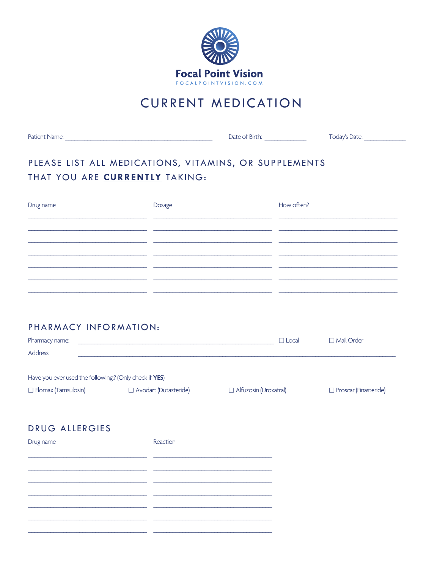

## **CURRENT MEDICATION**

### PLEASE LIST ALL MEDICATIONS, VITAMINS, OR SUPPLEMENTS THAT YOU ARE CURRENTLY TAKING:

| Drug name | Dosage | How often? |
|-----------|--------|------------|
|           |        |            |
|           |        |            |
|           |        |            |
|           |        |            |
|           |        |            |
|           |        |            |

### PHARMACY INFORMATION:

| Pharmacy name:             |                                                       | $\Box$ Local                 | □ Mail Order                 |  |
|----------------------------|-------------------------------------------------------|------------------------------|------------------------------|--|
| Address:                   |                                                       |                              |                              |  |
|                            |                                                       |                              |                              |  |
|                            | Have you ever used the following? (Only check if YES) |                              |                              |  |
| $\Box$ Flomax (Tamsulosin) | $\Box$ Avodart (Dutasteride)                          | $\Box$ Alfuzosin (Uroxatral) | $\Box$ Proscar (Finasteride) |  |

### **DRUG ALLERGIES**

| Drug name | Reaction |
|-----------|----------|
|           |          |
|           |          |
|           |          |
|           |          |
|           |          |
|           |          |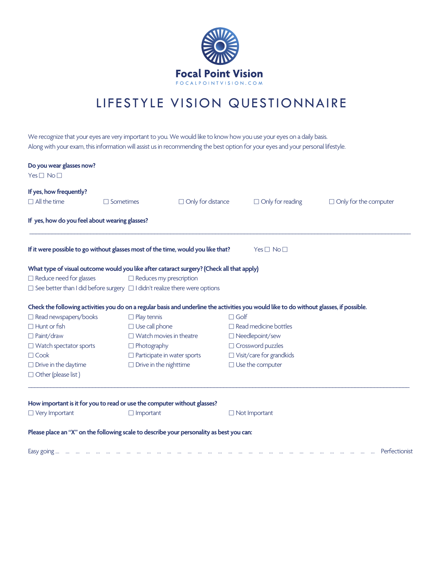

## LIFESTYLE VISION QUESTIONNAIRE

We recognize that your eyes are very important to you. We would like to know how you use your eyes on a daily basis. Along with your exam, this information will assist us in recommending the best option for your eyes and your personal lifestyle.

| Do you wear glasses now?<br>$Yes \Box No \Box$                                                                                                                                                                        |                                                                                                    |                                                                      |                                                                                                                                                                                                                                                                                                        |                              |
|-----------------------------------------------------------------------------------------------------------------------------------------------------------------------------------------------------------------------|----------------------------------------------------------------------------------------------------|----------------------------------------------------------------------|--------------------------------------------------------------------------------------------------------------------------------------------------------------------------------------------------------------------------------------------------------------------------------------------------------|------------------------------|
| If yes, how frequently?<br>$\Box$ All the time                                                                                                                                                                        | $\Box$ Sometimes                                                                                   | $\Box$ Only for distance                                             | $\Box$ Only for reading                                                                                                                                                                                                                                                                                | $\Box$ Only for the computer |
| If yes, how do you feel about wearing glasses?                                                                                                                                                                        |                                                                                                    |                                                                      |                                                                                                                                                                                                                                                                                                        |                              |
| If it were possible to go without glasses most of the time, would you like that?                                                                                                                                      |                                                                                                    |                                                                      | $Yes \Box No \Box$                                                                                                                                                                                                                                                                                     |                              |
| What type of visual outcome would you like after cataract surgery? (Check all that apply)<br>$\Box$ Reduce need for glasses<br>$\Box$ See better than I did before surgery $\Box$ I didn't realize there were options |                                                                                                    | $\Box$ Reduces my prescription                                       |                                                                                                                                                                                                                                                                                                        |                              |
| □ Read newspapers/books<br>$\Box$ Hunt or fish<br>$\Box$ Paint/draw<br>$\Box$ Watch spectator sports<br>$\Box$ Cook<br>$\Box$ Drive in the daytime<br>$\Box$ Other (please list)                                      | $\Box$ Play tennis<br>$\Box$ Use call phone<br>$\Box$ Photography<br>$\Box$ Drive in the nighttime | $\Box$ Watch movies in theatre<br>$\Box$ Participate in water sports | Check the following activities you do on a regular basis and underline the activities you would like to do without glasses, if possible.<br>$\Box$ Golf<br>$\Box$ Read medicine bottles<br>□ Needlepoint/sew<br>$\Box$ Crossword puzzles<br>$\Box$ Visit/care for grandkids<br>$\Box$ Use the computer |                              |
| How important is it for you to read or use the computer without glasses?<br>$\Box$ Very Important                                                                                                                     | $\Box$ Important                                                                                   |                                                                      | $\Box$ Not Important                                                                                                                                                                                                                                                                                   |                              |
| Please place an "X" on the following scale to describe your personality as best you can:<br>Easy going                                                                                                                |                                                                                                    |                                                                      |                                                                                                                                                                                                                                                                                                        | Perfectionist                |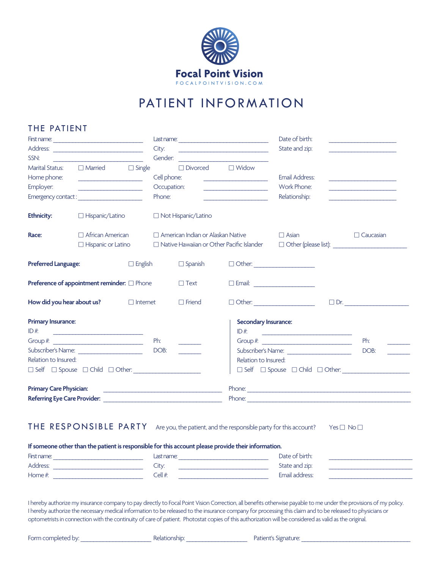

## PATIENT INFORMATION

#### THE PATIENT

|                                                               |                                                                                                                                                                                                                                                                                                                                                                                                                                                                                  |                                                                                     |             |                                                    | Date of birth:                                   |                                                                                                                                                                                                                                                                                                                        |      |                                                                                                                      |
|---------------------------------------------------------------|----------------------------------------------------------------------------------------------------------------------------------------------------------------------------------------------------------------------------------------------------------------------------------------------------------------------------------------------------------------------------------------------------------------------------------------------------------------------------------|-------------------------------------------------------------------------------------|-------------|----------------------------------------------------|--------------------------------------------------|------------------------------------------------------------------------------------------------------------------------------------------------------------------------------------------------------------------------------------------------------------------------------------------------------------------------|------|----------------------------------------------------------------------------------------------------------------------|
| Address:                                                      |                                                                                                                                                                                                                                                                                                                                                                                                                                                                                  | City:<br>the control of the control of the control of the control of the control of |             | State and zip:                                     |                                                  |                                                                                                                                                                                                                                                                                                                        |      |                                                                                                                      |
| SSN:                                                          | <u> 1989 - Johann Barn, mars eta industrial eta industrial eta industrial eta industrial eta industrial eta indus</u>                                                                                                                                                                                                                                                                                                                                                            |                                                                                     |             |                                                    |                                                  |                                                                                                                                                                                                                                                                                                                        |      |                                                                                                                      |
| <b>Marital Status:</b>                                        | $\Box$ Married $\Box$ Single                                                                                                                                                                                                                                                                                                                                                                                                                                                     |                                                                                     |             | $\Box$ Divorced $\Box$ Widow                       |                                                  |                                                                                                                                                                                                                                                                                                                        |      |                                                                                                                      |
| Home phone:                                                   | <u> 1989 - Johann Barn, mars ann an t-</u>                                                                                                                                                                                                                                                                                                                                                                                                                                       |                                                                                     | Cell phone: |                                                    |                                                  | <b>Email Address:</b>                                                                                                                                                                                                                                                                                                  |      | <u> 1980 - Jan Alexandria III, politik eta politik eta politik eta politik eta politik eta politik eta politik e</u> |
| Employer:                                                     |                                                                                                                                                                                                                                                                                                                                                                                                                                                                                  |                                                                                     | Occupation: |                                                    | <u> 1989 - Johann John Harry Hermer (</u>        | Work Phone:                                                                                                                                                                                                                                                                                                            |      |                                                                                                                      |
|                                                               | Emergency contact:                                                                                                                                                                                                                                                                                                                                                                                                                                                               |                                                                                     | Phone:      |                                                    | <u> 1989 - Johann Barbara, martxa a</u>          | Relationship:                                                                                                                                                                                                                                                                                                          |      | the control of the control of the control of                                                                         |
| <b>Ethnicity:</b>                                             | □ Hispanic/Latino                                                                                                                                                                                                                                                                                                                                                                                                                                                                |                                                                                     |             | Not Hispanic/Latino                                |                                                  |                                                                                                                                                                                                                                                                                                                        |      |                                                                                                                      |
| Race:                                                         | $\Box$ African American                                                                                                                                                                                                                                                                                                                                                                                                                                                          |                                                                                     |             | American Indian or Alaskan Native                  |                                                  | $\Box$ Asian                                                                                                                                                                                                                                                                                                           |      | $\Box$ Caucasian                                                                                                     |
|                                                               | $\Box$ Hispanic or Latino                                                                                                                                                                                                                                                                                                                                                                                                                                                        |                                                                                     |             |                                                    | $\Box$ Native Hawaiian or Other Pacific Islander |                                                                                                                                                                                                                                                                                                                        |      |                                                                                                                      |
| <b>Preferred Language:</b>                                    |                                                                                                                                                                                                                                                                                                                                                                                                                                                                                  | $\Box$ English                                                                      |             | $\square$ Spanish                                  |                                                  |                                                                                                                                                                                                                                                                                                                        |      |                                                                                                                      |
|                                                               | Preference of appointment reminder: O Phone                                                                                                                                                                                                                                                                                                                                                                                                                                      |                                                                                     |             | $\Box$ Text                                        | □ Email: ______________________                  |                                                                                                                                                                                                                                                                                                                        |      |                                                                                                                      |
| How did you hear about us?                                    |                                                                                                                                                                                                                                                                                                                                                                                                                                                                                  | $\Box$ Internet                                                                     |             | $\Box$ Friend                                      |                                                  | $\Box$ Other:                                                                                                                                                                                                                                                                                                          |      | $\Box$ Dr.                                                                                                           |
| <b>Primary Insurance:</b>                                     |                                                                                                                                                                                                                                                                                                                                                                                                                                                                                  |                                                                                     |             |                                                    | <b>Secondary Insurance:</b>                      |                                                                                                                                                                                                                                                                                                                        |      |                                                                                                                      |
| ID#                                                           | $\begin{tabular}{lllllllllllll} \multicolumn{3}{l}{} & \multicolumn{3}{l}{} & \multicolumn{3}{l}{} & \multicolumn{3}{l}{} & \multicolumn{3}{l}{} & \multicolumn{3}{l}{} & \multicolumn{3}{l}{} & \multicolumn{3}{l}{} & \multicolumn{3}{l}{} & \multicolumn{3}{l}{} & \multicolumn{3}{l}{} & \multicolumn{3}{l}{} & \multicolumn{3}{l}{} & \multicolumn{3}{l}{} & \multicolumn{3}{l}{} & \multicolumn{3}{l}{} & \multicolumn{3}{l}{} & \multicolumn{3}{l}{} & \multicolumn{3}{l$ |                                                                                     |             |                                                    |                                                  | $ID#$ .                                                                                                                                                                                                                                                                                                                |      |                                                                                                                      |
|                                                               | Group #: $\frac{1}{2}$ $\frac{1}{2}$ $\frac{1}{2}$ $\frac{1}{2}$ $\frac{1}{2}$ $\frac{1}{2}$ $\frac{1}{2}$ $\frac{1}{2}$ $\frac{1}{2}$ $\frac{1}{2}$ $\frac{1}{2}$ $\frac{1}{2}$ $\frac{1}{2}$ $\frac{1}{2}$ $\frac{1}{2}$ $\frac{1}{2}$ $\frac{1}{2}$ $\frac{1}{2}$ $\frac{1}{2}$ $\frac{1}{2}$ $\frac{1}{2}$ $\$                                                                                                                                                               |                                                                                     | Ph:         |                                                    |                                                  | Group # $\frac{1}{2}$ $\frac{1}{2}$ $\frac{1}{2}$ $\frac{1}{2}$ $\frac{1}{2}$ $\frac{1}{2}$ $\frac{1}{2}$ $\frac{1}{2}$ $\frac{1}{2}$ $\frac{1}{2}$ $\frac{1}{2}$ $\frac{1}{2}$ $\frac{1}{2}$ $\frac{1}{2}$ $\frac{1}{2}$ $\frac{1}{2}$ $\frac{1}{2}$ $\frac{1}{2}$ $\frac{1}{2}$ $\frac{1}{2}$ $\frac{1}{2}$ $\frac{$ |      | Ph:                                                                                                                  |
| Subscriber's Name:                                            |                                                                                                                                                                                                                                                                                                                                                                                                                                                                                  | DOB:                                                                                |             |                                                    |                                                  |                                                                                                                                                                                                                                                                                                                        | DOB: |                                                                                                                      |
| Relation to Insured:                                          |                                                                                                                                                                                                                                                                                                                                                                                                                                                                                  |                                                                                     |             | Relation to Insured:                               |                                                  |                                                                                                                                                                                                                                                                                                                        |      |                                                                                                                      |
|                                                               | $\Box \hspace{0.1cm} \textsf{Self} \hspace{0.2cm} \Box \hspace{0.1cm} \textsf{Spouse} \hspace{0.2cm} \Box \hspace{0.1cm} \textsf{Child} \hspace{0.2cm} \Box \hspace{0.1cm} \textsf{Other:} \hspace{0.1cm} \underline{\hspace{0.1cm}}$                                                                                                                                                                                                                                            |                                                                                     |             |                                                    |                                                  | $\Box \hspace{0.1cm} \textsf{Self} \hspace{0.1cm} \Box \hspace{0.1cm} \textsf{Spouse} \hspace{0.1cm} \Box \hspace{0.1cm} \textsf{Child} \hspace{0.1cm} \Box \hspace{0.1cm} \textsf{Other:} \hspace{0.1cm} \underline{\hspace{0.1cm}}$                                                                                  |      |                                                                                                                      |
| <b>Primary Care Physician:</b>                                |                                                                                                                                                                                                                                                                                                                                                                                                                                                                                  |                                                                                     |             | <u> 1990 - Johann John Harry Hermann (f. 1980)</u> |                                                  |                                                                                                                                                                                                                                                                                                                        |      |                                                                                                                      |
| Referring Eye Care Provider: New York Care and September 2014 |                                                                                                                                                                                                                                                                                                                                                                                                                                                                                  |                                                                                     |             |                                                    |                                                  |                                                                                                                                                                                                                                                                                                                        |      |                                                                                                                      |
|                                                               |                                                                                                                                                                                                                                                                                                                                                                                                                                                                                  |                                                                                     |             |                                                    |                                                  |                                                                                                                                                                                                                                                                                                                        |      |                                                                                                                      |

### THE RESPONSIBLE PARTY Are you, the patient, and the responsible party for this account? Yes  $\Box$  No $\Box$

**If someone other than the patient is responsible for this account please provide their information.** First name: \_\_\_\_\_\_\_\_\_\_\_\_\_\_\_\_\_\_\_\_\_\_\_\_\_\_\_\_ Last name: \_\_\_\_\_\_\_\_\_\_\_\_\_\_\_\_\_\_\_\_\_\_\_\_\_\_\_\_ Date of birth: \_\_\_\_\_\_\_\_\_\_\_\_\_\_\_\_\_\_\_\_\_\_\_\_\_\_ Address: \_\_\_\_\_\_\_\_\_\_\_\_\_\_\_\_\_\_\_\_\_\_\_\_\_\_\_\_ City: \_\_\_\_\_\_\_\_\_\_\_\_\_\_\_\_\_\_\_\_\_\_\_\_\_\_\_\_ State and zip: \_\_\_\_\_\_\_\_\_\_\_\_\_\_\_\_\_\_\_\_\_\_\_\_\_\_ Home #: \_\_\_\_\_\_\_\_\_\_\_\_\_\_\_\_\_\_\_\_\_\_\_\_\_\_\_\_ Cell #: \_\_\_\_\_\_\_\_\_\_\_\_\_\_\_\_\_\_\_\_\_\_\_\_\_\_\_\_ Email address: \_\_\_\_\_\_\_\_\_\_\_\_\_\_\_\_\_\_\_\_\_\_\_\_\_\_

I hereby authorize my insurance company to pay directly to Focal Point Vision Correction, all benefits otherwise payable to me under the provisions of my policy. I hereby authorize the necessary medical information to be released to the insurance company for processing this claim and to be released to physicians or optometrists in connection with the continuity of care of patient. Photostat copies of this authorization will be considered as valid as the original.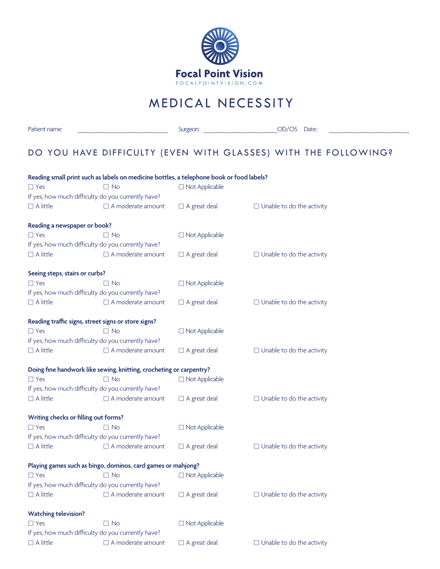

## MEDICAL NECESSITY

Patient name: \_\_\_\_\_\_\_\_\_\_\_\_\_\_\_\_\_\_\_\_\_\_\_\_\_\_\_\_ Surgeon: \_\_\_\_\_\_\_\_\_\_\_\_\_\_\_\_\_\_\_\_\_\_\_OD/OS Date: \_\_\_\_\_\_\_\_\_\_\_\_\_\_\_\_\_\_\_\_\_\_\_\_\_

### DO YOU HAVE DIFFICULTY (EVEN WITH GLASSES) WITH THE FOLLOWING?

### **Reading small print such as labels on medicine bottles, a telephone book or food labels?**  $\Box$  Yes  $\Box$  No  $\Box$  Not Applicable If yes, how much difficulty do you currently have?  $\Box$  A little  $\Box$  A moderate amount  $\Box$  A great deal  $\Box$  Unable to do the activity **Reading a newspaper or book?**  $\Box$  Yes  $\Box$  No  $\Box$  Not Applicable If yes, how much difficulty do you currently have?  $\Box$  A little  $\Box$  A moderate amount  $\Box$  A great deal  $\Box$  Unable to do the activity **Seeing steps, stairs or curbs?**  $\square$  Yes  $\square$  No  $\square$  No  $\square$  Not Applicable If yes, how much difficulty do you currently have?  $\Box$  A little  $\Box$  A moderate amount  $\Box$  A great deal  $\Box$  Unable to do the activity Reading traffic signs, street signs or store signs? Yes No Not Applicable If yes, how much difficulty do you currently have?  $\Box$  A little  $\Box$  A moderate amount  $\Box$  A great deal  $\Box$  Unable to do the activity **Doing fine handwork like sewing, knitting, crocheting or carpentry?**  $\Box$  Yes  $\Box$  No  $\Box$  Not Applicable If yes, how much difficulty do you currently have?  $\Box$  A little  $\Box$  A moderate amount  $\Box$  A great deal  $\Box$  Unable to do the activity **Writing checks or filling out forms?**  $\square$  Yes  $\square$  Not  $\square$  Not Applicable If yes, how much difficulty do you currently have?  $\Box$  A little  $\Box$  A moderate amount  $\Box$  A great deal  $\Box$  Unable to do the activity **Playing games such as bingo, dominos, card games or mahjong?**  $\Box$  Yes  $\Box$  No  $\Box$  Not Applicable If yes, how much difficulty do you currently have?  $\Box$  A little  $\Box$  A moderate amount  $\Box$  A great deal  $\Box$  Unable to do the activity **Watching television?**  $\Box$  Yes  $\Box$  No  $\Box$  Not Applicable If yes, how much difficulty do you currently have?  $\Box$  A little  $\Box$  A moderate amount  $\Box$  A great deal  $\Box$  Unable to do the activity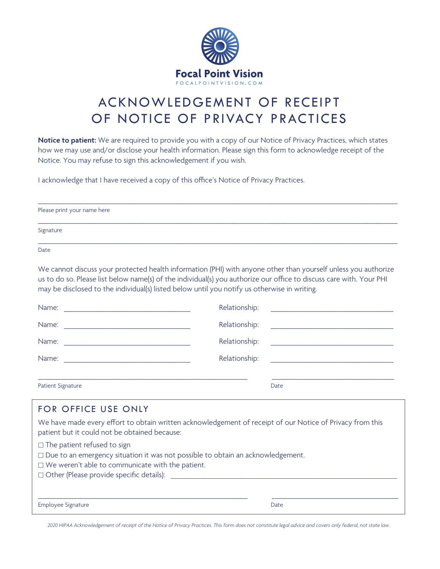

# ACKNOWLEDGEMENT OF RECEIPT OF NOTICE OF PRIVACY PRACTICES

**Notice to patient:** We are required to provide you with a copy of our Notice of Privacy Practices, which states how we may use and/or disclose your health information. Please sign this form to acknowledge receipt of the Notice. You may refuse to sign this acknowledgement if you wish.

I acknowledge that I have received a copy of this office's Notice of Privacy Practices.

| Please print your name here |  |  |
|-----------------------------|--|--|
| Signature                   |  |  |
| Date                        |  |  |

We cannot discuss your protected health information (PHI) with anyone other than yourself unless you authorize us to do so. Please list below name(s) of the individual(s) you authorize our office to discuss care with. Your PHI may be disclosed to the individual(s) listed below until you notify us otherwise in writing.

| Name:                                                                                                                 | Relationship:                                       |
|-----------------------------------------------------------------------------------------------------------------------|-----------------------------------------------------|
| <u> 1989 - Johann Barn, mars and de Branch Barn, mars and de Branch Barn, mars and de Branch Barn, mars and de Br</u> |                                                     |
| Name:                                                                                                                 | Relationship:                                       |
| <u> 1980 - Jan James James Barnett, fransk politik (d. 1980)</u>                                                      | <u> 1989 - Andrea Station Barbara, amerikan per</u> |
| Name:                                                                                                                 | Relationship:                                       |
| <u> 1980 - Andrea Andrew Maria (h. 1980).</u>                                                                         |                                                     |
| Name:                                                                                                                 | Relationship:                                       |
| <u> 1980 - Jan Samuel Barbara, margaret eta idazlea (h. 1980).</u>                                                    |                                                     |
| <b>Patient Signature</b>                                                                                              | Date                                                |

| FOR OFFICE USE ONLY                                                                                                                                                                                                                        |      |  |  |  |
|--------------------------------------------------------------------------------------------------------------------------------------------------------------------------------------------------------------------------------------------|------|--|--|--|
| We have made every effort to obtain written acknowledgement of receipt of our Notice of Privacy from this<br>patient but it could not be obtained because:                                                                                 |      |  |  |  |
| $\Box$ The patient refused to sign<br>$\Box$ Due to an emergency situation it was not possible to obtain an acknowledgement.<br>$\Box$ We weren't able to communicate with the patient.<br>$\Box$ Other (Please provide specific details): |      |  |  |  |
| Employee Signature                                                                                                                                                                                                                         | Date |  |  |  |

*2020 HIPAA Acknowledgement of receipt of the Notice of Privacy Practices. This form does not constitute legal advice and covers only federal, not state law.*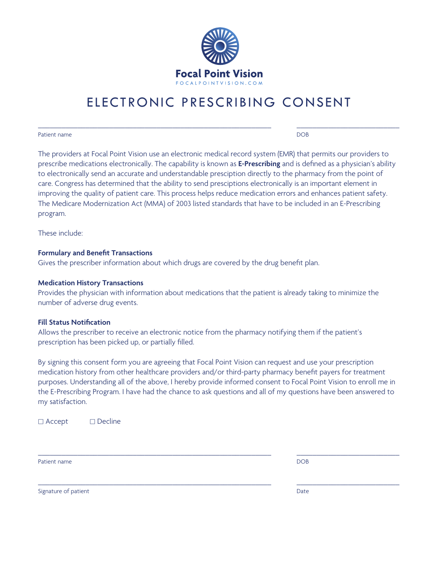

## ELECTRONIC PRESCRIBING CONSENT

\_\_\_\_\_\_\_\_\_\_\_\_\_\_\_\_\_\_\_\_\_\_\_\_\_\_\_\_\_\_\_\_\_\_\_\_\_\_\_\_\_\_\_\_\_\_\_\_\_\_\_\_\_\_\_\_\_\_\_ \_\_\_\_\_\_\_\_\_\_\_\_\_\_\_\_\_\_\_\_\_\_\_\_\_\_

#### Patient name DOB

The providers at Focal Point Vision use an electronic medical record system (EMR) that permits our providers to prescribe medications electronically. The capability is known as **E-Prescribing** and is defined as a physician's ability to electronically send an accurate and understandable presciption directly to the pharmacy from the point of care. Congress has determined that the ability to send presciptions electronically is an important element in improving the quality of patient care. This process helps reduce medication errors and enhances patient safety. The Medicare Modernization Act (MMA) of 2003 listed standards that have to be included in an E-Prescribing program.

These include:

#### **Formulary and Benefit Transactions**

Gives the prescriber information about which drugs are covered by the drug benefit plan.

#### **Medication History Transactions**

Provides the physician with information about medications that the patient is already taking to minimize the number of adverse drug events.

#### **Fill Status Notification**

Allows the prescriber to receive an electronic notice from the pharmacy notifying them if the patient's prescription has been picked up, or partially filled.

By signing this consent form you are agreeing that Focal Point Vision can request and use your prescription medication history from other healthcare providers and/or third-party pharmacy benefit payers for treatment purposes. Understanding all of the above, I hereby provide informed consent to Focal Point Vision to enroll me in the E-Prescribing Program. I have had the chance to ask questions and all of my questions have been answered to my satisfaction.

\_\_\_\_\_\_\_\_\_\_\_\_\_\_\_\_\_\_\_\_\_\_\_\_\_\_\_\_\_\_\_\_\_\_\_\_\_\_\_\_\_\_\_\_\_\_\_\_\_\_\_\_\_\_\_\_\_\_\_ \_\_\_\_\_\_\_\_\_\_\_\_\_\_\_\_\_\_\_\_\_\_\_\_\_\_

\_\_\_\_\_\_\_\_\_\_\_\_\_\_\_\_\_\_\_\_\_\_\_\_\_\_\_\_\_\_\_\_\_\_\_\_\_\_\_\_\_\_\_\_\_\_\_\_\_\_\_\_\_\_\_\_\_\_\_ \_\_\_\_\_\_\_\_\_\_\_\_\_\_\_\_\_\_\_\_\_\_\_\_\_\_

□ Accept □ Decline

Patient name DOB

Signature of patient **Date**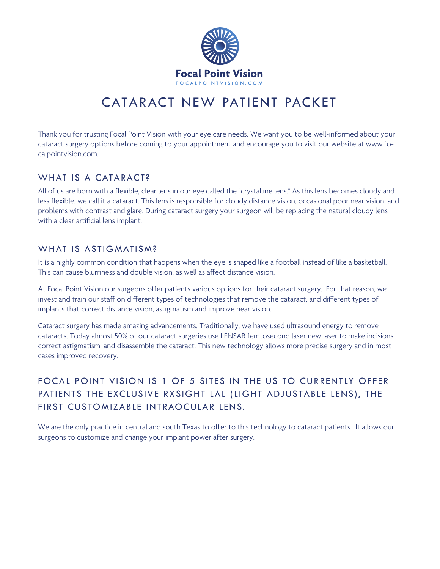

## CATARACT NEW PATIENT PACKET

Thank you for trusting Focal Point Vision with your eye care needs. We want you to be well-informed about your cataract surgery options before coming to your appointment and encourage you to visit our website at www.focalpointvision.com.

### WHAT IS A CATARACT?

All of us are born with a flexible, clear lens in our eye called the "crystalline lens." As this lens becomes cloudy and less flexible, we call it a cataract. This lens is responsible for cloudy distance vision, occasional poor near vision, and problems with contrast and glare. During cataract surgery your surgeon will be replacing the natural cloudy lens with a clear artificial lens implant.

### WHAT IS ASTIGMATISM?

It is a highly common condition that happens when the eye is shaped like a football instead of like a basketball. This can cause blurriness and double vision, as well as affect distance vision.

At Focal Point Vision our surgeons offer patients various options for their cataract surgery. For that reason, we invest and train our staff on different types of technologies that remove the cataract, and different types of implants that correct distance vision, astigmatism and improve near vision.

Cataract surgery has made amazing advancements. Traditionally, we have used ultrasound energy to remove cataracts. Today almost 50% of our cataract surgeries use LENSAR femtosecond laser new laser to make incisions, correct astigmatism, and disassemble the cataract. This new technology allows more precise surgery and in most cases improved recovery.

### FOCAL POINT VISION IS 1 OF 5 SITES IN THE US TO CURRENTLY OFFER PATIENTS THE EXCLUSIVE RXSIGHT LAL (LIGHT ADJUSTABLE LENS), THE FIRST CUSTOMIZABLE INTRAOCULAR LENS.

We are the only practice in central and south Texas to offer to this technology to cataract patients. It allows our surgeons to customize and change your implant power after surgery.